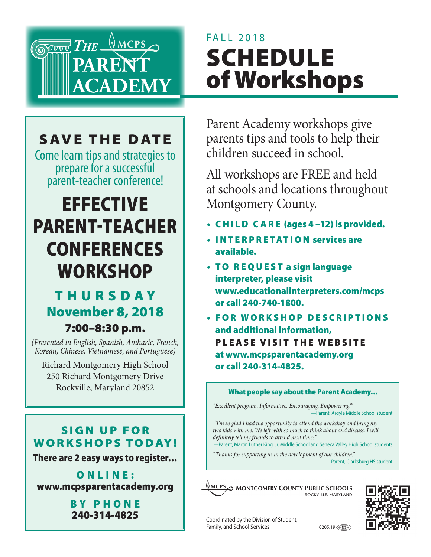

# FALL 2018 SCHEDULE of Workshops

## SAVE THE DATE

Come learn tips and strategies to prepare for a successful parent-teacher conference!

# **EFFECTIVE** PARENT-TEACHER **CONFERENCES WORKSHOP**

## T H U R S DAY November 8, 2018

### 7:00–8:30 p.m.

*(Presented in English, Spanish, Amharic, French, Korean, Chinese, Vietnamese, and Portuguese)* 

Richard Montgomery High School 250 Richard Montgomery Drive Rockville, Maryland 20852

Parent Academy workshops give parents tips and tools to help their children succeed in school.

All workshops are FREE and held at schools and locations throughout Montgomery County.

- CHILD CARE (ages 4 –12) is provided.
- INTERPRETATION services are available.
- TO REQUEST a sign language interpreter, please visit www.educationalinterpreters.com/mcps or call 240-740-1800.
- FOR WORKSHOP DESCRIPTIONS and additional information, PLEASE VISIT THE WEBSITE at www.mcpsparentacademy.org or call 240-314-4825.

#### What people say about the Parent Academy…

*"Excellent program. Informative. Encouraging. Empowering!"* —Parent, Argyle Middle School student

 *"I'm so glad I had the opportunity to attend the workshop and bring my*  two kids with me. We left with so much to think about and discuss. I will *definitely tell my friends to attend next time!"* 

—Parent, Martin Luther King, Jr. Middle School and Seneca Valley High School students

*"Thanks for supporting us in the development of our children."* —Parent, Clarksburg HS student



#### SIGN UP FOR **WORKSHOPS TODAY!**

There are 2 easy ways to register…

ONLINE: www.mcpsparentacademy.org

> BY PHONE 240-314-4825

Coordinated by the Division of Student, Family, and School Services 0205.19